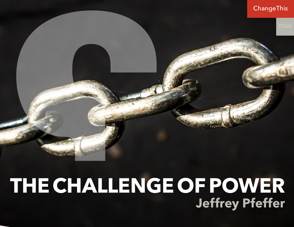

## **THE CHALLENGE OF POWER Jeffrey Pfeffer**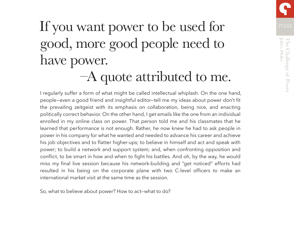

# If you want power to be used for 1213.03 good, more good people need to have power.

## –A quote attributed to me.

I regularly suffer a form of what might be called intellectual whiplash. On the one hand, people—even a good friend and insightful editor—tell me my ideas about power don't fit the prevailing zeitgeist with its emphasis on collaboration, being nice, and enacting politically correct behavior. On the other hand, I get emails like the one from an individual enrolled in my online class on power. That person told me and his classmates that he learned that performance is not enough. Rather, he now knew he had to ask people in power in his company for what he wanted and needed to advance his career and achieve his job objectives and to flatter higher-ups; to believe in himself and act and speak with power; to build a network and support system; and, when confronting opposition and conflict, to be smart in how and when to fight his battles. And oh, by the way, he would miss my final live session because his network-building and "get noticed" efforts had resulted in his being on the corporate plane with two C-level officers to make an international market visit at the same time as the session.

So, what to believe about power? How to act—what to do?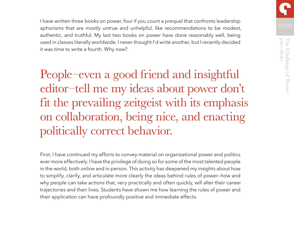Jeffrey Pfeffer Jeffrey Pfeffer The Challenge of Power The Challenge of

I have written three books on power, four if you count a prequel that confronts leadership aphorisms that are mostly untrue and unhelpful, like recommendations to be modest, authentic, and truthful. My last two books on power have done reasonably well, being used in classes literally worldwide. I never thought I'd write another, but I recently decided it was time to write a fourth. Why now?

People–even a good friend and insightful editor–tell me my ideas about power don't fit the prevailing zeitgeist with its emphasis on collaboration, being nice, and enacting politically correct behavior.

First, I have continued my efforts to convey material on organizational power and politics ever more effectively. I have the privilege of doing so for some of the most talented people in the world, both online and in person. This activity has deepened my insights about how to simplify, clarify, and articulate more clearly the ideas behind rules of power—how and why people can take actions that, very practically and often quickly, will alter their career trajectories and their lives. Students have shown me how learning the rules of power and their application can have profoundly positive and immediate effects.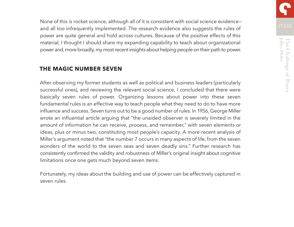213.03 None of this is rocket science, although all of it is consistent with social science evidence and all too infrequently implemented. The research evidence also suggests the rules of power are quite general and hold across cultures. Because of the positive effects of this material, I thought I should share my expanding capability to teach about organizational power and, more broadly, my most recent insights about helping people on their path to power.

#### **THE MAGIC NUMBER SEVEN**

After observing my former students as well as political and business leaders (particularly successful ones), and reviewing the relevant social science, I concluded that there were basically seven rules of power. Organizing lessons about power into these seven fundamental rules is an effective way to teach people what they need to do to have more influence and success. Seven turns out to be a good number of rules. In 1956, George Miller wrote an influential article arguing that "the unaided observer is severely limited in the amount of information he can receive, process, and remember," with seven elements or ideas, plus or minus two, constituting most people's capacity. A more recent analysis of Miller's argument noted that "the number 7 occurs in many aspects of life, from the seven wonders of the world to the seven seas and seven deadly sins." Further research has consistently confirmed the validity and robustness of Miller's original insight about cognitive limitations once one gets much beyond seven items.

Fortunately, my ideas about the building and use of power can be effectively captured in seven rules.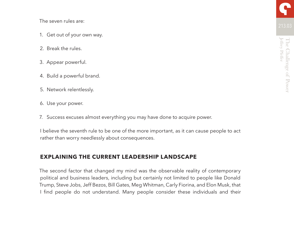The seven rules are:

- 1. Get out of your own way.
- 2. Break the rules.
- 3. Appear powerful.
- 4. Build a powerful brand.
- 5. Network relentlessly.
- 6. Use your power.
- 7. Success excuses almost everything you may have done to acquire power.

I believe the seventh rule to be one of the more important, as it can cause people to act rather than worry needlessly about consequences.

#### **EXPLAINING THE CURRENT LEADERSHIP LANDSCAPE**

The second factor that changed my mind was the observable reality of contemporary political and business leaders, including but certainly not limited to people like Donald Trump, Steve Jobs, Jeff Bezos, Bill Gates, Meg Whitman, Carly Fiorina, and Elon Musk, that I find people do not understand. Many people consider these individuals and their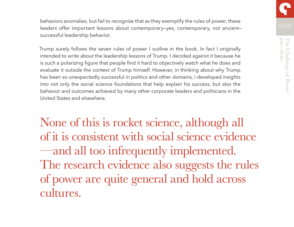behaviors anomalies, but fail to recognize that as they exemplify the rules of power, these leaders offer important lessons about contemporary—yes, contemporary, not ancient successful leadership behavior.

Trump surely follows the seven rules of power I outline in the book. In fact I originally intended to write about the leadership lessons of Trump. I decided against it because he is such a polarizing figure that people find it hard to objectively watch what he does and evaluate it outside the context of Trump himself. However, in thinking about why Trump has been so unexpectedly successful in politics and other domains, I developed insights into not only the social science foundations that help explain his success, but also the behavior and outcomes achieved by many other corporate leaders and politicians in the United States and elsewhere.

None of this is rocket science, although all of it is consistent with social science evidence —and all too infrequently implemented. The research evidence also suggests the rules of power are quite general and hold across cultures.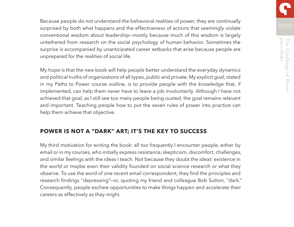**Jeffrey Pfeffer** Jeffrey Pfeffer The Challenge of The Challenge of Power

Because people do not understand the behavioral realities of power, they are continually surprised by both what happens and the effectiveness of actions that seemingly violate conventional wisdom about leadership—mostly because much of this wisdom is largely untethered from research on the social psychology of human behavior. Sometimes the surprise is accompanied by unanticipated career setbacks that arise because people are unprepared for the realities of social life.

My hope is that the new book will help people better understand the everyday dynamics and political truths of organizations of all types, public and private. My explicit goal, stated in my Paths to Power course outline, is to provide people with the knowledge that, if implemented, can help them never have to leave a job involuntarily. Although I have not achieved that goal, as I still see too many people being ousted, the goal remains relevant and important. Teaching people how to put the seven rules of power into practice can help them achieve that objective.

#### **POWER IS NOT A "DARK" ART; IT'S THE KEY TO SUCCESS**

My third motivation for writing the book: all too frequently I encounter people, either by email or in my courses, who initially express resistance, skepticism, discomfort, challenges, and similar feelings with the ideas I teach. Not because they doubt the ideas' existence in the world or maybe even their validity founded on social science research or what they observe. To use the word of one recent email correspondent, they find the principles and research findings "depressing"—or, quoting my friend and colleague Bob Sutton, "dark." Consequently, people eschew opportunities to make things happen and accelerate their careers as effectively as they might.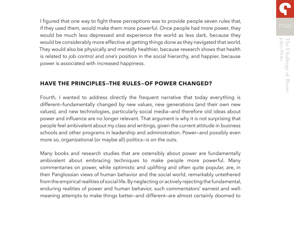I figured that one way to fight these perceptions was to provide people seven rules that, if they used them, would make them more powerful. Once people had more power, they would be much less depressed and experience the world as less dark, because they would be considerably more effective at getting things done as they navigated that world. They would also be physically and mentally healthier, because research shows that health is related to job control and one's position in the social hierarchy, and happier, because power is associated with increased happiness.

#### **HAVE THE PRINCIPLES—THE RULES—OF POWER CHANGED?**

Fourth, I wanted to address directly the frequent narrative that today everything is different—fundamentally changed by new values, new generations (and their own new values), and new technologies, particularly social media—and therefore old ideas about power and influence are no longer relevant. That argument is why it is not surprising that people feel ambivalent about my class and writings, given the current attitude in business schools and other programs in leadership and administration. Power—and possibly even more so, organizational (or maybe all) politics—is on the outs.

Many books and research studies that are ostensibly about power are fundamentally ambivalent about embracing techniques to make people more powerful. Many commentaries on power, while optimistic and uplifting and often quite popular, are, in their Panglossian views of human behavior and the social world, remarkably untethered from the empirical realities of social life. By neglecting or actively rejecting the fundamental, enduring realities of power and human behavior, such commentators' earnest and wellmeaning attempts to make things better—and different—are almost certainly doomed to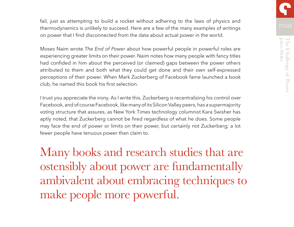**Jeffrey Pfeffer** Jeffrey Pfeffer The Challenge of The Challenge of Power

fail, just as attempting to build a rocket without adhering to the laws of physics and thermodynamics is unlikely to succeed. Here are a few of the many examples of writings on power that I find disconnected from the data about actual power in the world.

Moses Naim wrote *The End of Power* about how powerful people in powerful roles are experiencing greater limits on their power. Naim notes how many people with fancy titles had confided in him about the perceived (or claimed) gaps between the power others attributed to them and both what they could get done and their own self-expressed perceptions of their power. When Mark Zuckerberg of Facebook fame launched a book club, he named this book his first selection.

I trust you appreciate the irony. As I write this, Zuckerberg is recentralizing his control over Facebook, and of course Facebook, like many of its Silicon Valley peers, has a supermajority voting structure that assures, as New York Times technology columnist Kara Swisher has aptly noted, that Zuckerberg cannot be fired regardless of what he does. Some people may face the end of power or limits on their power, but certainly not Zuckerberg; a lot fewer people have tenuous power than claim to.

Many books and research studies that are ostensibly about power are fundamentally ambivalent about embracing techniques to make people more powerful.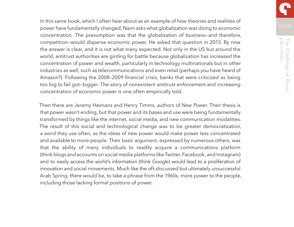In this same book, which I often hear about as an example of how theories and realities of power have fundamentally changed, Naim asks what globalization was doing to economic concentration. The presumption was that the globalization of business—and therefore, competition—would disperse economic power. He asked that question in 2013. By now the answer is clear, and it is not what many expected. Not only in the US but around the world, antitrust authorities are girding for battle because globalization has increased the concentration of power and wealth, particularly in technology multinationals but in other industries as well, such as telecommunications and even retail (perhaps you have heard of Amazon?). Following the 2008–2009 financial crisis, banks that were criticized as being too big to fail got—bigger. The story of nonexistent antitrust enforcement and increasing concentration of economic power is one often empirically told.

Then there are Jeremy Heimans and Henry Timms, authors of *New Power*. Their thesis is that power wasn't ending, but that power and its bases and use were being fundamentally transformed by things like the internet, social media, and new communication modalities. The result of this social and technological change was to be greater democratization, a word they use often, as the ideas of new power would make power less concentrated and available to more people. Their basic argument, expressed by numerous others, was that the ability of many individuals to readily acquire a communications platform (think blogs and accounts on social media platforms like Twitter, Facebook, and Instagram) and to easily access the world's information (think Google) would lead to a proliferation of innovation and social movements. Much like the oft-discussed but ultimately unsuccessful Arab Spring, there would be, to take a phrase from the 1960s, more power to the people, including those lacking formal positions of power.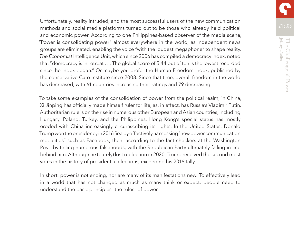Unfortunately, reality intruded, and the most successful users of the new communication methods and social media platforms turned out to be those who already held political and economic power. According to one Philippines-based observer of the media scene, "Power is consolidating power" almost everywhere in the world, as independent news groups are eliminated, enabling the voice "with the loudest megaphone" to shape reality. *The Economist* Intelligence Unit, which since 2006 has compiled a democracy index, noted that "democracy is in retreat . . . The global score of 5.44 out of ten is the lowest recorded since the index began." Or maybe you prefer the Human Freedom Index, published by the conservative Cato Institute since 2008. Since that time, overall freedom in the world has decreased, with 61 countries increasing their ratings and 79 decreasing.

To take some examples of the consolidation of power from the political realm, in China, Xi Jinping has officially made himself ruler for life, as, in effect, has Russia's Vladimir Putin. Authoritarian rule is on the rise in numerous other European and Asian countries, including Hungary, Poland, Turkey, and the Philippines. Hong Kong's special status has mostly eroded with China increasingly circumscribing its rights. In the United States, Donald Trump won the presidency in 2016 first by effectively harnessing "new power communication modalities" such as Facebook, then—according to the fact checkers at the Washington Post—by telling numerous falsehoods, with the Republican Party ultimately falling in line behind him. Although he (barely) lost reelection in 2020, Trump received the second most votes in the history of presidential elections, exceeding his 2016 tally.

In short, power is not ending, nor are many of its manifestations new. To effectively lead in a world that has not changed as much as many think or expect, people need to understand the basic principles—the rules—of power.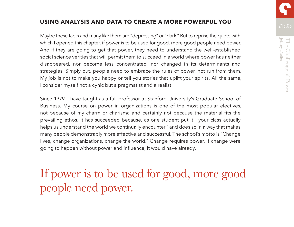#### **USING ANALYSIS AND DATA TO CREATE A MORE POWERFUL YOU**

Maybe these facts and many like them are "depressing" or "dark." But to reprise the quote with which I opened this chapter, if power is to be used for good, more good people need power. And if they are going to get that power, they need to understand the well-established social science verities that will permit them to succeed in a world where power has neither disappeared, nor become less concentrated, nor changed in its determinants and strategies. Simply put, people need to embrace the rules of power, not run from them. My job is not to make you happy or tell you stories that uplift your spirits. All the same, I consider myself not a cynic but a pragmatist and a realist.

Since 1979, I have taught as a full professor at Stanford University's Graduate School of Business. My course on power in organizations is one of the most popular electives, not because of my charm or charisma and certainly not because the material fits the prevailing ethos. It has succeeded because, as one student put it, "your class actually helps us understand the world we continually encounter," and does so in a way that makes many people demonstrably more effective and successful. The school's motto is "Change lives, change organizations, change the world." Change requires power. If change were going to happen without power and influence, it would have already.

If power is to be used for good, more good people need power.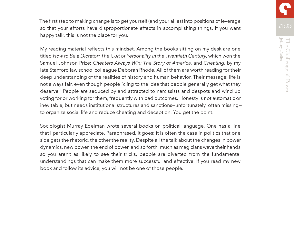**Jeffrey Pfeffer** Jeffrey Pfeffer The Challenge of The Challenge of Power

The first step to making change is to get yourself (and your allies) into positions of leverage so that your efforts have disproportionate effects in accomplishing things. If you want happy talk, this is not the place for you.

My reading material reflects this mindset. Among the books sitting on my desk are one titled *How to Be a Dictator: The Cult of Personality in the Twentieth Century*, which won the Samuel Johnson Prize; *Cheaters Always Win: The Story of America*, and *Cheating*, by my late Stanford law school colleague Deborah Rhode. All of them are worth reading for their deep understanding of the realities of history and human behavior. Their message: life is not always fair, even though people "cling to the idea that people generally get what they deserve." People are seduced by and attracted to narcissists and despots and wind up voting for or working for them, frequently with bad outcomes. Honesty is not automatic or inevitable, but needs institutional structures and sanctions—unfortunately, often missing to organize social life and reduce cheating and deception. You get the point.

Sociologist Murray Edelman wrote several books on political language. One has a line that I particularly appreciate. Paraphrased, it goes: it is often the case in politics that one side gets the rhetoric, the other the reality. Despite all the talk about the changes in power dynamics, new power, the end of power, and so forth, much as magicians wave their hands so you aren't as likely to see their tricks, people are diverted from the fundamental understandings that can make them more successful and effective. If you read my new book and follow its advice, you will not be one of those people.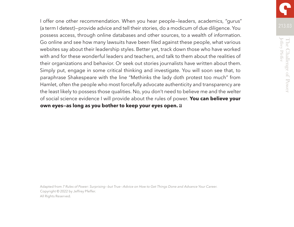I offer one other recommendation. When you hear people—leaders, academics, "gurus" (a term I detest)—provide advice and tell their stories, do a modicum of due diligence. You possess access, through online databases and other sources, to a wealth of information. Go online and see how many lawsuits have been filed against these people, what various websites say about their leadership styles. Better yet, track down those who have worked with and for these wonderful leaders and teachers, and talk to them about the realities of their organizations and behavior. Or seek out stories journalists have written about them. Simply put, engage in some critical thinking and investigate. You will soon see that, to paraphrase Shakespeare with the line "Methinks the lady doth protest too much" from Hamlet, often the people who most forcefully advocate authenticity and transparency are the least likely to possess those qualities. No, you don't need to believe me and the welter of social science evidence I will provide about the rules of power. **You can believe your own eyes—as long as you bother to keep your eyes open.**

Adapted from *7 Rules of Power: Surprising--but True--Advice on How to Get Things Done and Advance Your Career*. Copyright © 2022 by Jeffrey Pfeffer. All Rights Reserved.